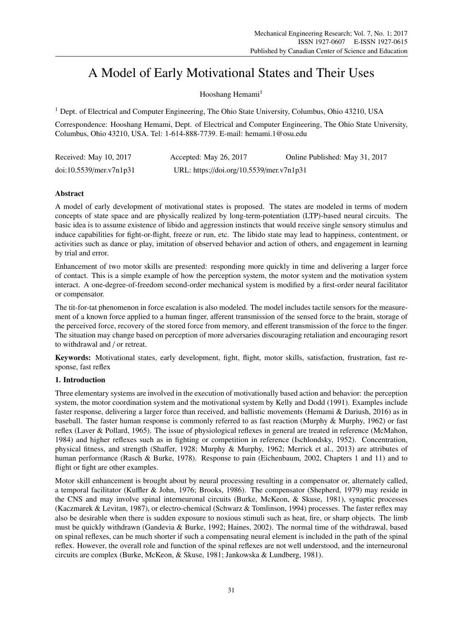# A Model of Early Motivational States and Their Uses

Hooshang Hemami<sup>1</sup>

<sup>1</sup> Dept. of Electrical and Computer Engineering, The Ohio State University, Columbus, Ohio 43210, USA

Correspondence: Hooshang Hemami, Dept. of Electrical and Computer Engineering, The Ohio State University, Columbus, Ohio 43210, USA. Tel: 1-614-888-7739. E-mail: hemami.1@osu.edu

| Received: May 10, 2017  | Accepted: May 26, 2017                   | Online Published: May 31, 2017 |
|-------------------------|------------------------------------------|--------------------------------|
| doi:10.5539/mer.v7n1p31 | URL: https://doi.org/10.5539/mer.v7n1p31 |                                |

# **Abstract**

A model of early development of motivational states is proposed. The states are modeled in terms of modern concepts of state space and are physically realized by long-term-potentiation (LTP)-based neural circuits. The basic idea is to assume existence of libido and aggression instincts that would receive single sensory stimulus and induce capabilities for fight-or-flight, freeze or run, etc. The libido state may lead to happiness, contentment, or activities such as dance or play, imitation of observed behavior and action of others, and engagement in learning by trial and error.

Enhancement of two motor skills are presented: responding more quickly in time and delivering a larger force of contact. This is a simple example of how the perception system, the motor system and the motivation system interact. A one-degree-of-freedom second-order mechanical system is modified by a first-order neural facilitator or compensator.

The tit-for-tat phenomenon in force escalation is also modeled. The model includes tactile sensors for the measurement of a known force applied to a human finger, afferent transmission of the sensed force to the brain, storage of the perceived force, recovery of the stored force from memory, and efferent transmission of the force to the finger. The situation may change based on perception of more adversaries discouraging retaliation and encouraging resort to withdrawal and / or retreat.

Keywords: Motivational states, early development, fight, flight, motor skills, satisfaction, frustration, fast response, fast reflex

# 1. Introduction

Three elementary systems are involved in the execution of motivationally based action and behavior: the perception system, the motor coordination system and the motivational system by Kelly and Dodd (1991). Examples include faster response, delivering a larger force than received, and ballistic movements (Hemami & Dariush, 2016) as in baseball. The faster human response is commonly referred to as fast reaction (Murphy & Murphy, 1962) or fast reflex (Laver & Pollard, 1965). The issue of physiological reflexes in general are treated in reference (McMahon, 1984) and higher reflexes such as in fighting or competition in reference (Ischlondsky, 1952). Concentration, physical fitness, and strength (Shaffer, 1928; Murphy & Murphy, 1962; Merrick et al., 2013) are attributes of human performance (Rasch & Burke, 1978). Response to pain (Eichenbaum, 2002, Chapters 1 and 11) and to flight or fight are other examples.

Motor skill enhancement is brought about by neural processing resulting in a compensator or, alternately called, a temporal facilitator (Kuffler & John, 1976; Brooks, 1986). The compensator (Shepherd, 1979) may reside in the CNS and may involve spinal interneuronal circuits (Burke, McKeon, & Skuse, 1981), synaptic processes (Kaczmarek & Levitan, 1987), or electro-chemical (Schwarz & Tomlinson, 1994) processes. The faster reflex may also be desirable when there is sudden exposure to noxious stimuli such as heat, fire, or sharp objects. The limb must be quickly withdrawn (Gandevia & Burke, 1992; Haines, 2002). The normal time of the withdrawal, based on spinal reflexes, can be much shorter if such a compensating neural element is included in the path of the spinal reflex. However, the overall role and function of the spinal reflexes are not well understood, and the interneuronal circuits are complex (Burke, McKeon, & Skuse, 1981; Jankowska & Lundberg, 1981).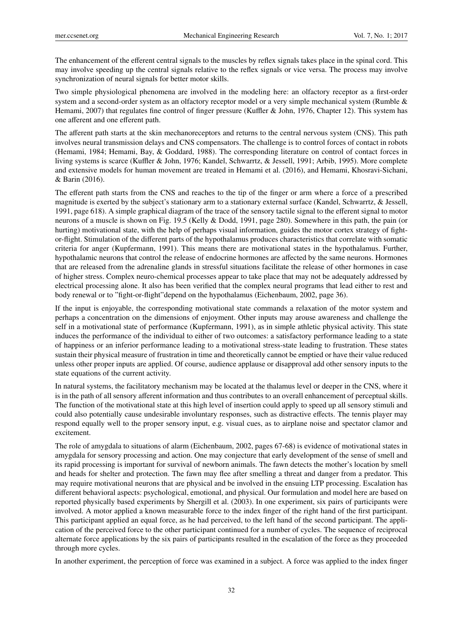The enhancement of the efferent central signals to the muscles by reflex signals takes place in the spinal cord. This may involve speeding up the central signals relative to the reflex signals or vice versa. The process may involve synchronization of neural signals for better motor skills.

Two simple physiological phenomena are involved in the modeling here: an olfactory receptor as a first-order system and a second-order system as an olfactory receptor model or a very simple mechanical system (Rumble & Hemami, 2007) that regulates fine control of finger pressure (Kuffler & John, 1976, Chapter 12). This system has one afferent and one efferent path.

The afferent path starts at the skin mechanoreceptors and returns to the central nervous system (CNS). This path involves neural transmission delays and CNS compensators. The challenge is to control forces of contact in robots (Hemami, 1984; Hemami, Bay, & Goddard, 1988). The corresponding literature on control of contact forces in living systems is scarce (Kuffler & John, 1976; Kandel, Schwarrtz, & Jessell, 1991; Arbib, 1995). More complete and extensive models for human movement are treated in Hemami et al. (2016), and Hemami, Khosravi-Sichani, & Barin (2016).

The efferent path starts from the CNS and reaches to the tip of the finger or arm where a force of a prescribed magnitude is exerted by the subject's stationary arm to a stationary external surface (Kandel, Schwarrtz, & Jessell, 1991, page 618). A simple graphical diagram of the trace of the sensory tactile signal to the efferent signal to motor neurons of a muscle is shown on Fig. 19.5 (Kelly & Dodd, 1991, page 280). Somewhere in this path, the pain (or hurting) motivational state, with the help of perhaps visual information, guides the motor cortex strategy of fightor-flight. Stimulation of the different parts of the hypothalamus produces characteristics that correlate with somatic criteria for anger (Kupfermann, 1991). This means there are motivational states in the hypothalamus. Further, hypothalamic neurons that control the release of endocrine hormones are affected by the same neurons. Hormones that are released from the adrenaline glands in stressful situations facilitate the release of other hormones in case of higher stress. Complex neuro-chemical processes appear to take place that may not be adequately addressed by electrical processing alone. It also has been verified that the complex neural programs that lead either to rest and body renewal or to "fight-or-flight"depend on the hypothalamus (Eichenbaum, 2002, page 36).

If the input is enjoyable, the corresponding motivational state commands a relaxation of the motor system and perhaps a concentration on the dimensions of enjoyment. Other inputs may arouse awareness and challenge the self in a motivational state of performance (Kupfermann, 1991), as in simple athletic physical activity. This state induces the performance of the individual to either of two outcomes: a satisfactory performance leading to a state of happiness or an inferior performance leading to a motivational stress-state leading to frustration. These states sustain their physical measure of frustration in time and theoretically cannot be emptied or have their value reduced unless other proper inputs are applied. Of course, audience applause or disapproval add other sensory inputs to the state equations of the current activity.

In natural systems, the facilitatory mechanism may be located at the thalamus level or deeper in the CNS, where it is in the path of all sensory afferent information and thus contributes to an overall enhancement of perceptual skills. The function of the motivational state at this high level of insertion could apply to speed up all sensory stimuli and could also potentially cause undesirable involuntary responses, such as distractive effects. The tennis player may respond equally well to the proper sensory input, e.g. visual cues, as to airplane noise and spectator clamor and excitement.

The role of amygdala to situations of alarm (Eichenbaum, 2002, pages 67-68) is evidence of motivational states in amygdala for sensory processing and action. One may conjecture that early development of the sense of smell and its rapid processing is important for survival of newborn animals. The fawn detects the mother's location by smell and heads for shelter and protection. The fawn may flee after smelling a threat and danger from a predator. This may require motivational neurons that are physical and be involved in the ensuing LTP processing. Escalation has different behavioral aspects: psychological, emotional, and physical. Our formulation and model here are based on reported physically based experiments by Shergill et al. (2003). In one experiment, six pairs of participants were involved. A motor applied a known measurable force to the index finger of the right hand of the first participant. This participant applied an equal force, as he had perceived, to the left hand of the second participant. The application of the perceived force to the other participant continued for a number of cycles. The sequence of reciprocal alternate force applications by the six pairs of participants resulted in the escalation of the force as they proceeded through more cycles.

In another experiment, the perception of force was examined in a subject. A force was applied to the index finger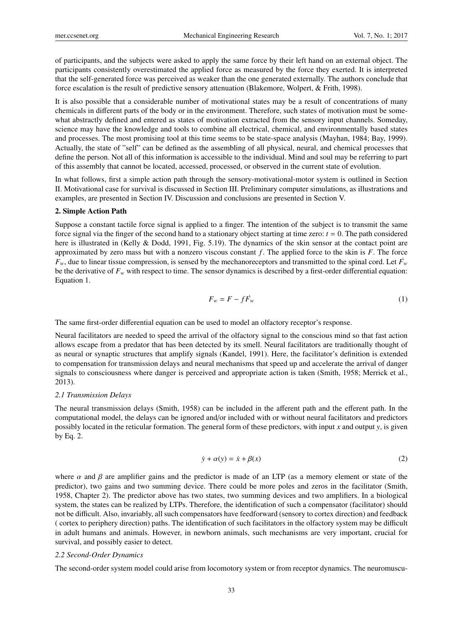of participants, and the subjects were asked to apply the same force by their left hand on an external object. The participants consistently overestimated the applied force as measured by the force they exerted. It is interpreted that the self-generated force was perceived as weaker than the one generated externally. The authors conclude that force escalation is the result of predictive sensory attenuation (Blakemore, Wolpert, & Frith, 1998).

It is also possible that a considerable number of motivational states may be a result of concentrations of many chemicals in different parts of the body or in the environment. Therefore, such states of motivation must be somewhat abstractly defined and entered as states of motivation extracted from the sensory input channels. Someday, science may have the knowledge and tools to combine all electrical, chemical, and environmentally based states and processes. The most promising tool at this time seems to be state-space analysis (Mayhan, 1984; Bay, 1999). Actually, the state of "self" can be defined as the assembling of all physical, neural, and chemical processes that define the person. Not all of this information is accessible to the individual. Mind and soul may be referring to part of this assembly that cannot be located, accessed, processed, or observed in the current state of evolution.

In what follows, first a simple action path through the sensory-motivational-motor system is outlined in Section II. Motivational case for survival is discussed in Section III. Preliminary computer simulations, as illustrations and examples, are presented in Section IV. Discussion and conclusions are presented in Section V.

## 2. Simple Action Path

Suppose a constant tactile force signal is applied to a finger. The intention of the subject is to transmit the same force signal via the finger of the second hand to a stationary object starting at time zero:  $t = 0$ . The path considered here is illustrated in (Kelly & Dodd, 1991, Fig. 5.19). The dynamics of the skin sensor at the contact point are approximated by zero mass but with a nonzero viscous constant  $f$ . The applied force to the skin is  $F$ . The force  $F_w$ , due to linear tissue compression, is sensed by the mechanoreceptors and transmitted to the spinal cord. Let  $\vec{F}_w$ be the derivative of  $F_w$  with respect to time. The sensor dynamics is described by a first-order differential equation: Equation 1.

$$
F_w = F - f \dot{F}_w \tag{1}
$$

The same first-order differential equation can be used to model an olfactory receptor's response.

Neural facilitators are needed to speed the arrival of the olfactory signal to the conscious mind so that fast action allows escape from a predator that has been detected by its smell. Neural facilitators are traditionally thought of as neural or synaptic structures that amplify signals (Kandel, 1991). Here, the facilitator's definition is extended to compensation for transmission delays and neural mechanisms that speed up and accelerate the arrival of danger signals to consciousness where danger is perceived and appropriate action is taken (Smith, 1958; Merrick et al., 2013).

#### *2.1 Transmission Delays*

The neural transmission delays (Smith, 1958) can be included in the afferent path and the efferent path. In the computational model, the delays can be ignored and/or included with or without neural facilitators and predictors possibly located in the reticular formation. The general form of these predictors, with input *x* and output *y*, is given by Eq. 2.

$$
\dot{y} + \alpha(y) = \dot{x} + \beta(x) \tag{2}
$$

where  $\alpha$  and  $\beta$  are amplifier gains and the predictor is made of an LTP (as a memory element or state of the predictor), two gains and two summing device. There could be more poles and zeros in the facilitator (Smith, 1958, Chapter 2). The predictor above has two states, two summing devices and two amplifiers. In a biological system, the states can be realized by LTPs. Therefore, the identification of such a compensator (facilitator) should not be difficult. Also, invariably, all such compensators have feedforward (sensory to cortex direction) and feedback ( cortex to periphery direction) paths. The identification of such facilitators in the olfactory system may be difficult in adult humans and animals. However, in newborn animals, such mechanisms are very important, crucial for survival, and possibly easier to detect.

## *2.2 Second-Order Dynamics*

The second-order system model could arise from locomotory system or from receptor dynamics. The neuromuscu-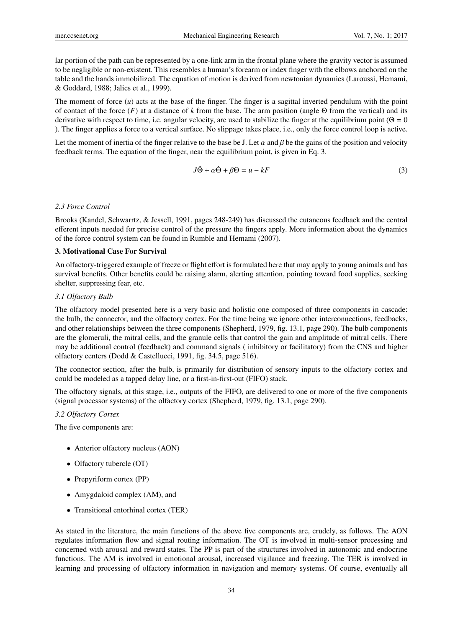lar portion of the path can be represented by a one-link arm in the frontal plane where the gravity vector is assumed to be negligible or non-existent. This resembles a human's forearm or index finger with the elbows anchored on the table and the hands immobilized. The equation of motion is derived from newtonian dynamics (Laroussi, Hemami, & Goddard, 1988; Jalics et al., 1999).

The moment of force  $(u)$  acts at the base of the finger. The finger is a sagittal inverted pendulum with the point of contact of the force (*F*) at a distance of *k* from the base. The arm position (angle Θ from the vertical) and its derivative with respect to time, i.e. angular velocity, are used to stabilize the finger at the equilibrium point ( $\Theta = 0$ ). The finger applies a force to a vertical surface. No slippage takes place, i.e., only the force control loop is active.

Let the moment of inertia of the finger relative to the base be J. Let  $\alpha$  and  $\beta$  be the gains of the position and velocity feedback terms. The equation of the finger, near the equilibrium point, is given in Eq. 3.

$$
J\ddot{\Theta} + \alpha \dot{\Theta} + \beta \Theta = u - kF \tag{3}
$$

#### *2.3 Force Control*

Brooks (Kandel, Schwarrtz, & Jessell, 1991, pages 248-249) has discussed the cutaneous feedback and the central efferent inputs needed for precise control of the pressure the fingers apply. More information about the dynamics of the force control system can be found in Rumble and Hemami (2007).

## 3. Motivational Case For Survival

An olfactory-triggered example of freeze or flight effort is formulated here that may apply to young animals and has survival benefits. Other benefits could be raising alarm, alerting attention, pointing toward food supplies, seeking shelter, suppressing fear, etc.

### *3.1 Olfactory Bulb*

The olfactory model presented here is a very basic and holistic one composed of three components in cascade: the bulb, the connector, and the olfactory cortex. For the time being we ignore other interconnections, feedbacks, and other relationships between the three components (Shepherd, 1979, fig. 13.1, page 290). The bulb components are the glomeruli, the mitral cells, and the granule cells that control the gain and amplitude of mitral cells. There may be additional control (feedback) and command signals ( inhibitory or facilitatory) from the CNS and higher olfactory centers (Dodd & Castellucci, 1991, fig. 34.5, page 516).

The connector section, after the bulb, is primarily for distribution of sensory inputs to the olfactory cortex and could be modeled as a tapped delay line, or a first-in-first-out (FIFO) stack.

The olfactory signals, at this stage, i.e., outputs of the FIFO, are delivered to one or more of the five components (signal processor systems) of the olfactory cortex (Shepherd, 1979, fig. 13.1, page 290).

#### *3.2 Olfactory Cortex*

The five components are:

- Anterior olfactory nucleus (AON)
- Olfactory tubercle (OT)
- Prepyriform cortex (PP)
- Amygdaloid complex (AM), and
- Transitional entorhinal cortex (TER)

As stated in the literature, the main functions of the above five components are, crudely, as follows. The AON regulates information flow and signal routing information. The OT is involved in multi-sensor processing and concerned with arousal and reward states. The PP is part of the structures involved in autonomic and endocrine functions. The AM is involved in emotional arousal, increased vigilance and freezing. The TER is involved in learning and processing of olfactory information in navigation and memory systems. Of course, eventually all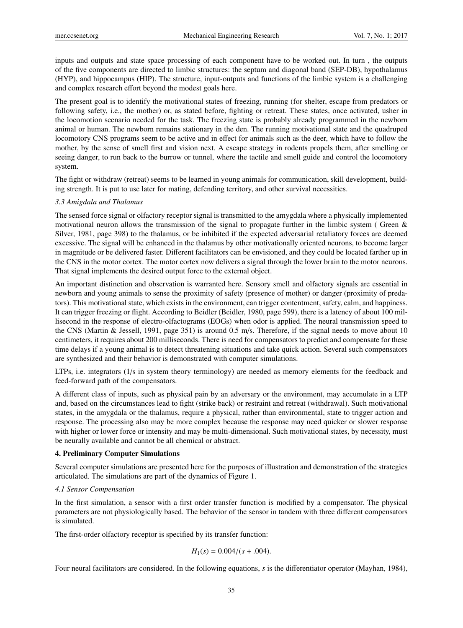inputs and outputs and state space processing of each component have to be worked out. In turn , the outputs of the five components are directed to limbic structures: the septum and diagonal band (SEP-DB), hypothalamus (HYP), and hippocampus (HIP). The structure, input-outputs and functions of the limbic system is a challenging and complex research effort beyond the modest goals here.

The present goal is to identify the motivational states of freezing, running (for shelter, escape from predators or following safety, i.e., the mother) or, as stated before, fighting or retreat. These states, once activated, usher in the locomotion scenario needed for the task. The freezing state is probably already programmed in the newborn animal or human. The newborn remains stationary in the den. The running motivational state and the quadruped locomotory CNS programs seem to be active and in effect for animals such as the deer, which have to follow the mother, by the sense of smell first and vision next. A escape strategy in rodents propels them, after smelling or seeing danger, to run back to the burrow or tunnel, where the tactile and smell guide and control the locomotory system.

The fight or withdraw (retreat) seems to be learned in young animals for communication, skill development, building strength. It is put to use later for mating, defending territory, and other survival necessities.

#### *3.3 Amigdala and Thalamus*

The sensed force signal or olfactory receptor signal is transmitted to the amygdala where a physically implemented motivational neuron allows the transmission of the signal to propagate further in the limbic system ( Green & Silver, 1981, page 398) to the thalamus, or be inhibited if the expected adversarial retaliatory forces are deemed excessive. The signal will be enhanced in the thalamus by other motivationally oriented neurons, to become larger in magnitude or be delivered faster. Different facilitators can be envisioned, and they could be located farther up in the CNS in the motor cortex. The motor cortex now delivers a signal through the lower brain to the motor neurons. That signal implements the desired output force to the external object.

An important distinction and observation is warranted here. Sensory smell and olfactory signals are essential in newborn and young animals to sense the proximity of safety (presence of mother) or danger (proximity of predators). This motivational state, which exists in the environment, can trigger contentment, safety, calm, and happiness. It can trigger freezing or flight. According to Beidler (Beidler, 1980, page 599), there is a latency of about 100 millisecond in the response of electro-olfactograms (EOGs) when odor is applied. The neural transmission speed to the CNS (Martin & Jessell, 1991, page 351) is around 0.5 m/s. Therefore, if the signal needs to move about 10 centimeters, it requires about 200 milliseconds. There is need for compensators to predict and compensate for these time delays if a young animal is to detect threatening situations and take quick action. Several such compensators are synthesized and their behavior is demonstrated with computer simulations.

LTPs, i.e. integrators (1/s in system theory terminology) are needed as memory elements for the feedback and feed-forward path of the compensators.

A different class of inputs, such as physical pain by an adversary or the environment, may accumulate in a LTP and, based on the circumstances lead to fight (strike back) or restraint and retreat (withdrawal). Such motivational states, in the amygdala or the thalamus, require a physical, rather than environmental, state to trigger action and response. The processing also may be more complex because the response may need quicker or slower response with higher or lower force or intensity and may be multi-dimensional. Such motivational states, by necessity, must be neurally available and cannot be all chemical or abstract.

#### 4. Preliminary Computer Simulations

Several computer simulations are presented here for the purposes of illustration and demonstration of the strategies articulated. The simulations are part of the dynamics of Figure 1.

#### *4.1 Sensor Compensation*

In the first simulation, a sensor with a first order transfer function is modified by a compensator. The physical parameters are not physiologically based. The behavior of the sensor in tandem with three different compensators is simulated.

The first-order olfactory receptor is specified by its transfer function:

$$
H_1(s) = 0.004/(s+.004).
$$

Four neural facilitators are considered. In the following equations, *s* is the differentiator operator (Mayhan, 1984),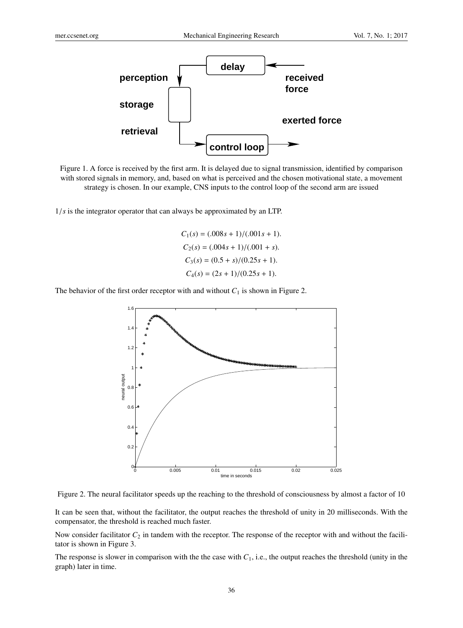

Figure 1. A force is received by the first arm. It is delayed due to signal transmission, identified by comparison with stored signals in memory, and, based on what is perceived and the chosen motivational state, a movement strategy is chosen. In our example, CNS inputs to the control loop of the second arm are issued

1/*s* is the integrator operator that can always be approximated by an LTP.

 $C_1(s) = (0.008s + 1)/(0.001s + 1).$  $C_2(s) = (0.004s + 1)/(0.001 + s).$  $C_3(s) = (0.5 + s)/(0.25s + 1).$  $C_4(s) = (2s + 1)/(0.25s + 1).$ 

The behavior of the first order receptor with and without  $C_1$  is shown in Figure 2.



Figure 2. The neural facilitator speeds up the reaching to the threshold of consciousness by almost a factor of 10

It can be seen that, without the facilitator, the output reaches the threshold of unity in 20 milliseconds. With the compensator, the threshold is reached much faster.

Now consider facilitator  $C_2$  in tandem with the receptor. The response of the receptor with and without the facilitator is shown in Figure 3.

The response is slower in comparison with the the case with  $C_1$ , i.e., the output reaches the threshold (unity in the graph) later in time.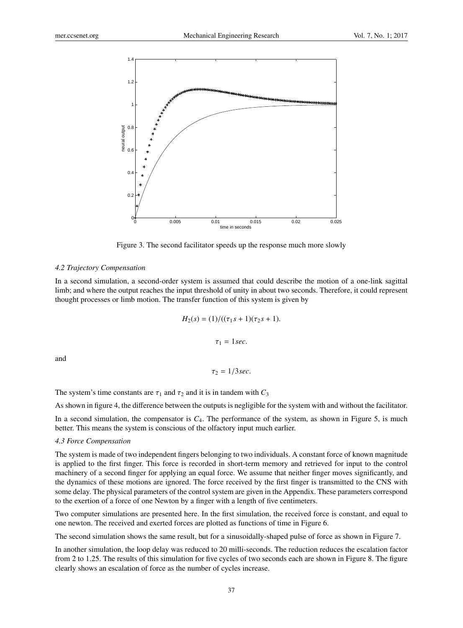

Figure 3. The second facilitator speeds up the response much more slowly

#### *4.2 Trajectory Compensation*

In a second simulation, a second-order system is assumed that could describe the motion of a one-link sagittal limb; and where the output reaches the input threshold of unity in about two seconds. Therefore, it could represent thought processes or limb motion. The transfer function of this system is given by

$$
H_2(s) = (1)/((\tau_1 s + 1)(\tau_2 s + 1).
$$

$$
\tau_1 = 1 sec.
$$

and

$$
\tau_2=1/3sec.
$$

The system's time constants are  $\tau_1$  and  $\tau_2$  and it is in tandem with  $C_3$ 

As shown in figure 4, the difference between the outputs is negligible for the system with and without the facilitator.

In a second simulation, the compensator is  $C_4$ . The performance of the system, as shown in Figure 5, is much better. This means the system is conscious of the olfactory input much earlier.

#### *4.3 Force Compensation*

The system is made of two independent fingers belonging to two individuals. A constant force of known magnitude is applied to the first finger. This force is recorded in short-term memory and retrieved for input to the control machinery of a second finger for applying an equal force. We assume that neither finger moves significantly, and the dynamics of these motions are ignored. The force received by the first finger is transmitted to the CNS with some delay. The physical parameters of the control system are given in the Appendix. These parameters correspond to the exertion of a force of one Newton by a finger with a length of five centimeters.

Two computer simulations are presented here. In the first simulation, the received force is constant, and equal to one newton. The received and exerted forces are plotted as functions of time in Figure 6.

The second simulation shows the same result, but for a sinusoidally-shaped pulse of force as shown in Figure 7.

In another simulation, the loop delay was reduced to 20 milli-seconds. The reduction reduces the escalation factor from 2 to 1.25. The results of this simulation for five cycles of two seconds each are shown in Figure 8. The figure clearly shows an escalation of force as the number of cycles increase.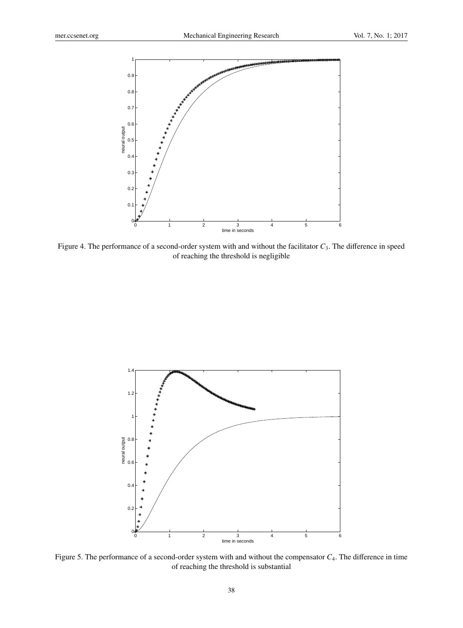

Figure 4. The performance of a second-order system with and without the facilitator  $C_3$ . The difference in speed of reaching the threshold is negligible



Figure 5. The performance of a second-order system with and without the compensator *C*4. The difference in time of reaching the threshold is substantial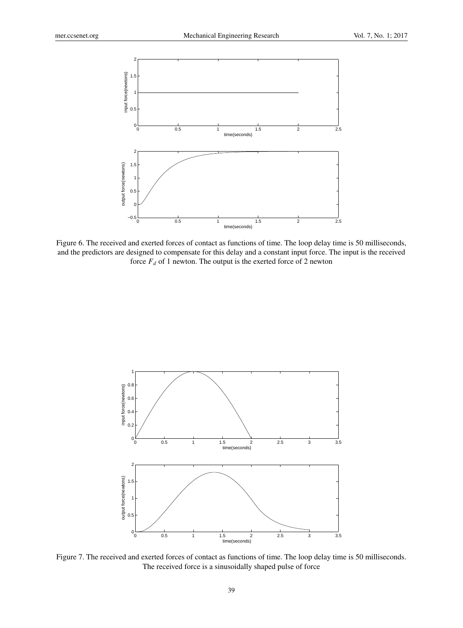

Figure 6. The received and exerted forces of contact as functions of time. The loop delay time is 50 milliseconds, and the predictors are designed to compensate for this delay and a constant input force. The input is the received force  $F_d$  of 1 newton. The output is the exerted force of 2 newton



Figure 7. The received and exerted forces of contact as functions of time. The loop delay time is 50 milliseconds. The received force is a sinusoidally shaped pulse of force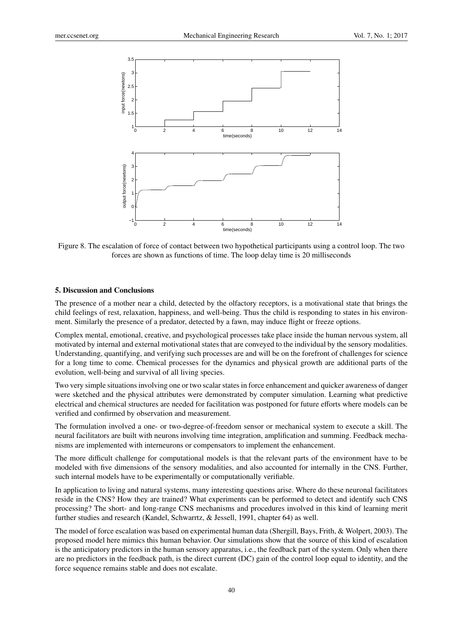

Figure 8. The escalation of force of contact between two hypothetical participants using a control loop. The two forces are shown as functions of time. The loop delay time is 20 milliseconds

# 5. Discussion and Conclusions

The presence of a mother near a child, detected by the olfactory receptors, is a motivational state that brings the child feelings of rest, relaxation, happiness, and well-being. Thus the child is responding to states in his environment. Similarly the presence of a predator, detected by a fawn, may induce flight or freeze options.

Complex mental, emotional, creative, and psychological processes take place inside the human nervous system, all motivated by internal and external motivational states that are conveyed to the individual by the sensory modalities. Understanding, quantifying, and verifying such processes are and will be on the forefront of challenges for science for a long time to come. Chemical processes for the dynamics and physical growth are additional parts of the evolution, well-being and survival of all living species.

Two very simple situations involving one or two scalar states in force enhancement and quicker awareness of danger were sketched and the physical attributes were demonstrated by computer simulation. Learning what predictive electrical and chemical structures are needed for facilitation was postponed for future efforts where models can be verified and confirmed by observation and measurement.

The formulation involved a one- or two-degree-of-freedom sensor or mechanical system to execute a skill. The neural facilitators are built with neurons involving time integration, amplification and summing. Feedback mechanisms are implemented with interneurons or compensators to implement the enhancement.

The more difficult challenge for computational models is that the relevant parts of the environment have to be modeled with five dimensions of the sensory modalities, and also accounted for internally in the CNS. Further, such internal models have to be experimentally or computationally verifiable.

In application to living and natural systems, many interesting questions arise. Where do these neuronal facilitators reside in the CNS? How they are trained? What experiments can be performed to detect and identify such CNS processing? The short- and long-range CNS mechanisms and procedures involved in this kind of learning merit further studies and research (Kandel, Schwarrtz, & Jessell, 1991, chapter 64) as well.

The model of force escalation was based on experimental human data (Shergill, Bays, Frith, & Wolpert, 2003). The proposed model here mimics this human behavior. Our simulations show that the source of this kind of escalation is the anticipatory predictors in the human sensory apparatus, i.e., the feedback part of the system. Only when there are no predictors in the feedback path, is the direct current (DC) gain of the control loop equal to identity, and the force sequence remains stable and does not escalate.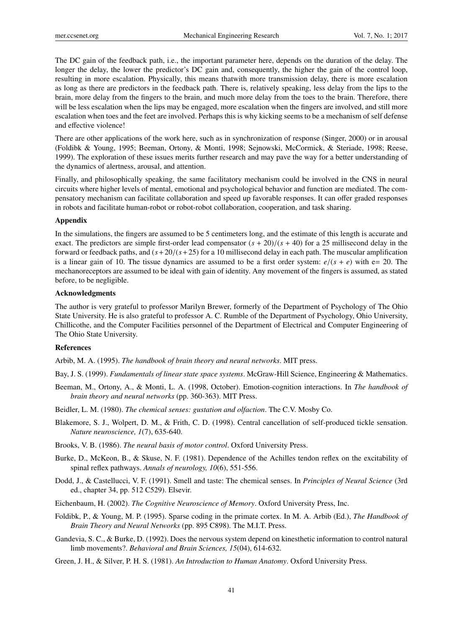The DC gain of the feedback path, i.e., the important parameter here, depends on the duration of the delay. The longer the delay, the lower the predictor's DC gain and, consequently, the higher the gain of the control loop, resulting in more escalation. Physically, this means thatwith more transmission delay, there is more escalation as long as there are predictors in the feedback path. There is, relatively speaking, less delay from the lips to the brain, more delay from the fingers to the brain, and much more delay from the toes to the brain. Therefore, there will be less escalation when the lips may be engaged, more escalation when the fingers are involved, and still more escalation when toes and the feet are involved. Perhaps this is why kicking seems to be a mechanism of self defense and effective violence!

There are other applications of the work here, such as in synchronization of response (Singer, 2000) or in arousal (Foldibk & Young, 1995; Beeman, Ortony, & Monti, 1998; Sejnowski, McCormick, & Steriade, 1998; Reese, 1999). The exploration of these issues merits further research and may pave the way for a better understanding of the dynamics of alertness, arousal, and attention.

Finally, and philosophically speaking, the same facilitatory mechanism could be involved in the CNS in neural circuits where higher levels of mental, emotional and psychological behavior and function are mediated. The compensatory mechanism can facilitate collaboration and speed up favorable responses. It can offer graded responses in robots and facilitate human-robot or robot-robot collaboration, cooperation, and task sharing.

# Appendix

In the simulations, the fingers are assumed to be 5 centimeters long, and the estimate of this length is accurate and exact. The predictors are simple first-order lead compensator  $(s + 20)/(s + 40)$  for a 25 millisecond delay in the forward or feedback paths, and  $(s + 20/(s + 25)$  for a 10 millisecond delay in each path. The muscular amplification is a linear gain of 10. The tissue dynamics are assumed to be a first order system:  $e/(s + e)$  with e= 20. The mechanoreceptors are assumed to be ideal with gain of identity. Any movement of the fingers is assumed, as stated before, to be negligible.

# Acknowledgments

The author is very grateful to professor Marilyn Brewer, formerly of the Department of Psychology of The Ohio State University. He is also grateful to professor A. C. Rumble of the Department of Psychology, Ohio University, Chillicothe, and the Computer Facilities personnel of the Department of Electrical and Computer Engineering of The Ohio State University.

### References

Arbib, M. A. (1995). *The handbook of brain theory and neural networks*. MIT press.

Bay, J. S. (1999). *Fundamentals of linear state space systems*. McGraw-Hill Science, Engineering & Mathematics.

Beeman, M., Ortony, A., & Monti, L. A. (1998, October). Emotion-cognition interactions. In *The handbook of brain theory and neural networks* (pp. 360-363). MIT Press.

Beidler, L. M. (1980). *The chemical senses: gustation and olfaction*. The C.V. Mosby Co.

- Blakemore, S. J., Wolpert, D. M., & Frith, C. D. (1998). Central cancellation of self-produced tickle sensation. *Nature neuroscience, 1*(7), 635-640.
- Brooks, V. B. (1986). *The neural basis of motor control*. Oxford University Press.
- Burke, D., McKeon, B., & Skuse, N. F. (1981). Dependence of the Achilles tendon reflex on the excitability of spinal reflex pathways. *Annals of neurology, 10*(6), 551-556.
- Dodd, J., & Castellucci, V. F. (1991). Smell and taste: The chemical senses. In *Principles of Neural Science* (3rd ed., chapter 34, pp. 512 C529). Elsevir.
- Eichenbaum, H. (2002). *The Cognitive Neuroscience of Memory*. Oxford University Press, Inc.
- Foldibk, P., & Young, M. P. (1995). Sparse coding in the primate cortex. In M. A. Arbib (Ed.), *The Handbook of Brain Theory and Neural Networks* (pp. 895 C898). The M.I.T. Press.
- Gandevia, S. C., & Burke, D. (1992). Does the nervous system depend on kinesthetic information to control natural limb movements?. *Behavioral and Brain Sciences, 15*(04), 614-632.

Green, J. H., & Silver, P. H. S. (1981). *An Introduction to Human Anatomy*. Oxford University Press.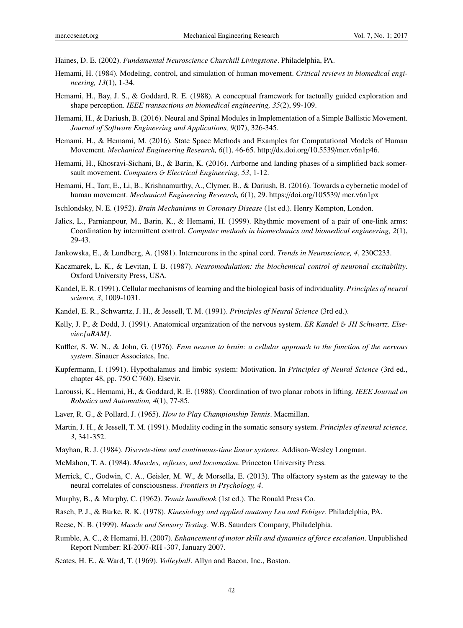Haines, D. E. (2002). *Fundamental Neuroscience Churchill Livingstone*. Philadelphia, PA.

- Hemami, H. (1984). Modeling, control, and simulation of human movement. *Critical reviews in biomedical engineering, 13*(1), 1-34.
- Hemami, H., Bay, J. S., & Goddard, R. E. (1988). A conceptual framework for tactually guided exploration and shape perception. *IEEE transactions on biomedical engineering, 35*(2), 99-109.
- Hemami, H., & Dariush, B. (2016). Neural and Spinal Modules in Implementation of a Simple Ballistic Movement. *Journal of Software Engineering and Applications, 9*(07), 326-345.
- Hemami, H., & Hemami, M. (2016). State Space Methods and Examples for Computational Models of Human Movement. *Mechanical Engineering Research, 6*(1), 46-65. http://dx.doi.org/10.5539/mer.v6n1p46.
- Hemami, H., Khosravi-Sichani, B., & Barin, K. (2016). Airborne and landing phases of a simplified back somersault movement. *Computers* & *Electrical Engineering, 53*, 1-12.
- Hemami, H., Tarr, E., Li, B., Krishnamurthy, A., Clymer, B., & Dariush, B. (2016). Towards a cybernetic model of human movement. *Mechanical Engineering Research, 6*(1), 29. https://doi.org/105539/ mer.v6n1px
- Ischlondsky, N. E. (1952). *Brain Mechanisms in Coronary Disease* (1st ed.). Henry Kempton, London.
- Jalics, L., Parnianpour, M., Barin, K., & Hemami, H. (1999). Rhythmic movement of a pair of one-link arms: Coordination by intermittent control. *Computer methods in biomechanics and biomedical engineering, 2*(1), 29-43.
- Jankowska, E., & Lundberg, A. (1981). Interneurons in the spinal cord. *Trends in Neuroscience, 4*, 230C233.
- Kaczmarek, L. K., & Levitan, I. B. (1987). *Neuromodulation: the biochemical control of neuronal excitability*. Oxford University Press, USA.
- Kandel, E. R. (1991). Cellular mechanisms of learning and the biological basis of individuality. *Principles of neural science, 3*, 1009-1031.
- Kandel, E. R., Schwarrtz, J. H., & Jessell, T. M. (1991). *Principles of Neural Science* (3rd ed.).
- Kelly, J. P., & Dodd, J. (1991). Anatomical organization of the nervous system. *ER Kandel* & *JH Schwartz. Elsevier.[aRAM]*.
- Kuffler, S. W. N., & John, G. (1976). *Fron neuron to brain: a cellular approach to the function of the nervous system*. Sinauer Associates, Inc.
- Kupfermann, I. (1991). Hypothalamus and limbic system: Motivation. In *Principles of Neural Science* (3rd ed., chapter 48, pp. 750 C 760). Elsevir.
- Laroussi, K., Hemami, H., & Goddard, R. E. (1988). Coordination of two planar robots in lifting. *IEEE Journal on Robotics and Automation, 4*(1), 77-85.
- Laver, R. G., & Pollard, J. (1965). *How to Play Championship Tennis*. Macmillan.
- Martin, J. H., & Jessell, T. M. (1991). Modality coding in the somatic sensory system. *Principles of neural science, 3*, 341-352.
- Mayhan, R. J. (1984). *Discrete-time and continuous-time linear systems*. Addison-Wesley Longman.
- McMahon, T. A. (1984). *Muscles, reflexes, and locomotion*. Princeton University Press.
- Merrick, C., Godwin, C. A., Geisler, M. W., & Morsella, E. (2013). The olfactory system as the gateway to the neural correlates of consciousness. *Frontiers in Psychology, 4*.
- Murphy, B., & Murphy, C. (1962). *Tennis handbook* (1st ed.). The Ronald Press Co.
- Rasch, P. J., & Burke, R. K. (1978). *Kinesiology and applied anatomy Lea and Febiger*. Philadelphia, PA.
- Reese, N. B. (1999). *Muscle and Sensory Testing*. W.B. Saunders Company, Philadelphia.
- Rumble, A. C., & Hemami, H. (2007). *Enhancement of motor skills and dynamics of force escalation*. Unpublished Report Number: RI-2007-RH -307, January 2007.
- Scates, H. E., & Ward, T. (1969). *Volleyball*. Allyn and Bacon, Inc., Boston.